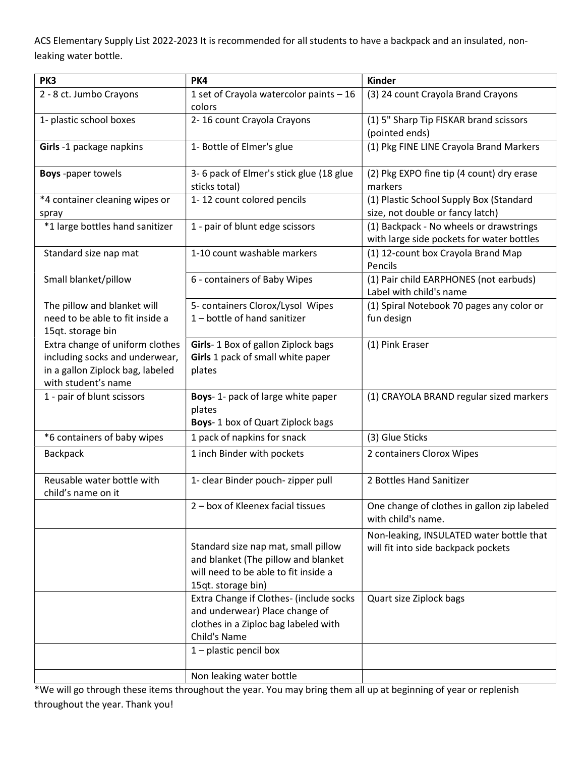ACS Elementary Supply List 2022-2023 It is recommended for all students to have a backpack and an insulated, nonleaking water bottle.

| PK3                                                                                                                          | PK4                                                                                                                                      | <b>Kinder</b>                                                                        |
|------------------------------------------------------------------------------------------------------------------------------|------------------------------------------------------------------------------------------------------------------------------------------|--------------------------------------------------------------------------------------|
| 2 - 8 ct. Jumbo Crayons                                                                                                      | 1 set of Crayola watercolor paints - 16<br>colors                                                                                        | (3) 24 count Crayola Brand Crayons                                                   |
| 1- plastic school boxes                                                                                                      | 2-16 count Crayola Crayons                                                                                                               | (1) 5" Sharp Tip FISKAR brand scissors<br>(pointed ends)                             |
| Girls -1 package napkins                                                                                                     | 1- Bottle of Elmer's glue                                                                                                                | (1) Pkg FINE LINE Crayola Brand Markers                                              |
| <b>Boys</b> -paper towels                                                                                                    | 3-6 pack of Elmer's stick glue (18 glue<br>sticks total)                                                                                 | (2) Pkg EXPO fine tip (4 count) dry erase<br>markers                                 |
| *4 container cleaning wipes or<br>spray                                                                                      | 1-12 count colored pencils                                                                                                               | (1) Plastic School Supply Box (Standard<br>size, not double or fancy latch)          |
| *1 large bottles hand sanitizer                                                                                              | 1 - pair of blunt edge scissors                                                                                                          | (1) Backpack - No wheels or drawstrings<br>with large side pockets for water bottles |
| Standard size nap mat                                                                                                        | 1-10 count washable markers                                                                                                              | (1) 12-count box Crayola Brand Map<br>Pencils                                        |
| Small blanket/pillow                                                                                                         | 6 - containers of Baby Wipes                                                                                                             | (1) Pair child EARPHONES (not earbuds)<br>Label with child's name                    |
| The pillow and blanket will<br>need to be able to fit inside a<br>15qt. storage bin                                          | 5- containers Clorox/Lysol Wipes<br>1-bottle of hand sanitizer                                                                           | (1) Spiral Notebook 70 pages any color or<br>fun design                              |
| Extra change of uniform clothes<br>including socks and underwear,<br>in a gallon Ziplock bag, labeled<br>with student's name | Girls-1 Box of gallon Ziplock bags<br>Girls 1 pack of small white paper<br>plates                                                        | (1) Pink Eraser                                                                      |
| 1 - pair of blunt scissors                                                                                                   | Boys-1- pack of large white paper<br>plates<br>Boys-1 box of Quart Ziplock bags                                                          | (1) CRAYOLA BRAND regular sized markers                                              |
| *6 containers of baby wipes                                                                                                  | 1 pack of napkins for snack                                                                                                              | (3) Glue Sticks                                                                      |
| <b>Backpack</b>                                                                                                              | 1 inch Binder with pockets                                                                                                               | 2 containers Clorox Wipes                                                            |
| Reusable water bottle with<br>child's name on it                                                                             | 1- clear Binder pouch- zipper pull                                                                                                       | 2 Bottles Hand Sanitizer                                                             |
|                                                                                                                              | 2 - box of Kleenex facial tissues                                                                                                        | One change of clothes in gallon zip labeled<br>with child's name.                    |
|                                                                                                                              | Standard size nap mat, small pillow<br>and blanket (The pillow and blanket<br>will need to be able to fit inside a<br>15qt. storage bin) | Non-leaking, INSULATED water bottle that<br>will fit into side backpack pockets      |
|                                                                                                                              | Extra Change if Clothes- (include socks<br>and underwear) Place change of<br>clothes in a Ziploc bag labeled with<br>Child's Name        | Quart size Ziplock bags                                                              |
|                                                                                                                              | $1$ – plastic pencil box                                                                                                                 |                                                                                      |
|                                                                                                                              | Non leaking water bottle                                                                                                                 |                                                                                      |

\*We will go through these items throughout the year. You may bring them all up at beginning of year or replenish throughout the year. Thank you!